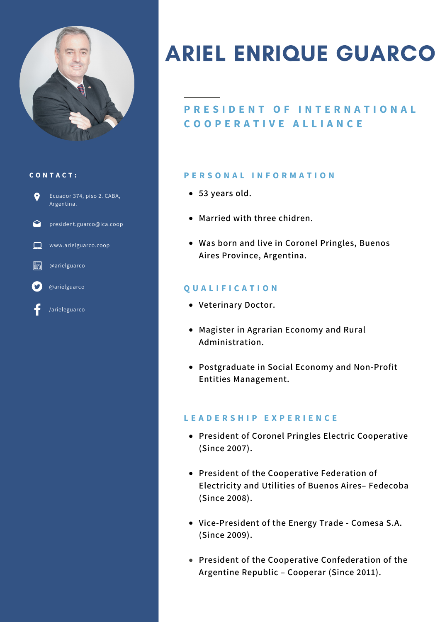

#### **C O N T A C T :**



# ARIEL ENRIQUE GUARCO

## **P R E S I D E N T O F I N T E R N A T I O N A L C O O P E R A T I V E A L L I A N C E**

#### **P E R S O N A L I N F O R M A T I O N**

- **53 years old.**
- **Married with three chidren.**
- **Was born and live in Coronel Pringles, Buenos Aires Province, Argentina.**

### **Q U A L I F I C A T I O N**

- **Veterinary Doctor.**
- **Magister in Agrarian Economy and Rural Administration.**
- **Postgraduate in Social Economy and Non-Profit Entities Management.**

#### **L E A D E R S H I P E X P E R I E N C E**

- **President of Coronel Pringles Electric Cooperative (Since 2007).**
- **President of the Cooperative Federation of Electricity and Utilities of Buenos Aires– Fedecoba (Since 2008).**
- **Vice-President of the Energy Trade - Comesa S.A. (Since 2009).**
- **President of the Cooperative Confederation of the Argentine Republic – Cooperar (Since 2011).**